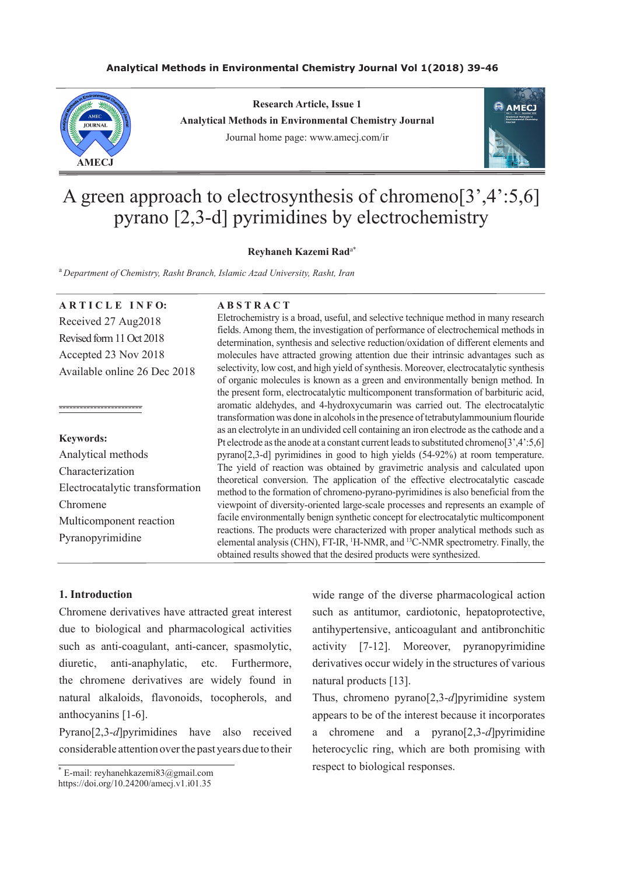#### **Analytical Methods in Environmental Chemistry Journal Vol 1(2018) 39-46**



**Research Article, Issue 1 Analytical Methods in Environmental Chemistry Journal** Journal home page: www.amecj.com/ir



# A green approach to electrosynthesis of chromeno[3',4':5,6] pyrano [2,3-d] pyrimidines by electrochemistry

#### **Reyhaneh Kazemi Rad**a\*

<sup>a</sup>*Department of Chemistry, Rasht Branch, Islamic Azad University, Rasht, Iran*

### **A R T I C L E I N F O:** Received 27 Aug2018 Revised form 11 Oct 2018 Accepted 23 Nov 2018 Available online 26 Dec 2018

------------------------

## **Keywords:** Analytical methods Characterization Electrocatalytic transformation Chromene Multicomponent reaction Pyranopyrimidine

### **A B S T R A C T**

Eletrochemistry is a broad, useful, and selective technique method in many research fields. Among them, the investigation of performance of electrochemical methods in determination, synthesis and selective reduction/oxidation of different elements and molecules have attracted growing attention due their intrinsic advantages such as selectivity, low cost, and high yield of synthesis. Moreover, electrocatalytic synthesis of organic molecules is known as a green and environmentally benign method. In the present form, electrocatalytic multicomponent transformation of barbituric acid, aromatic aldehydes, and 4-hydroxycumarin was carried out. The electrocatalytic transformation was done in alcohols in the presence of tetrabutylammounium flouride as an electrolyte in an undivided cell containing an iron electrode as the cathode and a Pt electrode as the anode at a constant current leads to substituted chromeno[3',4':5,6] pyrano[2,3-d] pyrimidines in good to high yields (54-92%) at room temperature. The yield of reaction was obtained by gravimetric analysis and calculated upon theoretical conversion. The application of the effective electrocatalytic cascade method to the formation of chromeno-pyrano-pyrimidines is also beneficial from the viewpoint of diversity-oriented large-scale processes and represents an example of facile environmentally benign synthetic concept for electrocatalytic multicomponent reactions. The products were characterized with proper analytical methods such as elemental analysis (CHN), FT-IR, <sup>1</sup>H-NMR, and <sup>13</sup>C-NMR spectrometry. Finally, the obtained results showed that the desired products were synthesized.

#### **1. Introduction**

Chromene derivatives have attracted great interest due to biological and pharmacological activities such as anti-coagulant, anti-cancer, spasmolytic, diuretic, anti-anaphylatic, etc. Furthermore, the chromene derivatives are widely found in natural alkaloids, flavonoids, tocopherols, and anthocyanins [1-6].

Pyrano[2,3-*d*]pyrimidines have also received considerable attention over the past years due to their

wide range of the diverse pharmacological action such as antitumor, cardiotonic, hepatoprotective, antihypertensive, anticoagulant and antibronchitic activity [7-12]. Moreover, pyranopyrimidine derivatives occur widely in the structures of various natural products [13].

Thus, chromeno pyrano[2,3-*d*]pyrimidine system appears to be of the interest because it incorporates a chromene and a pyrano[2,3-*d*]pyrimidine heterocyclic ring, which are both promising with respect to biological responses.

 $\overline{\text{E-mail:}}$  reyhanehkazemi83@gmail.com

https://doi.org/10.24200/amecj.v1.i01.35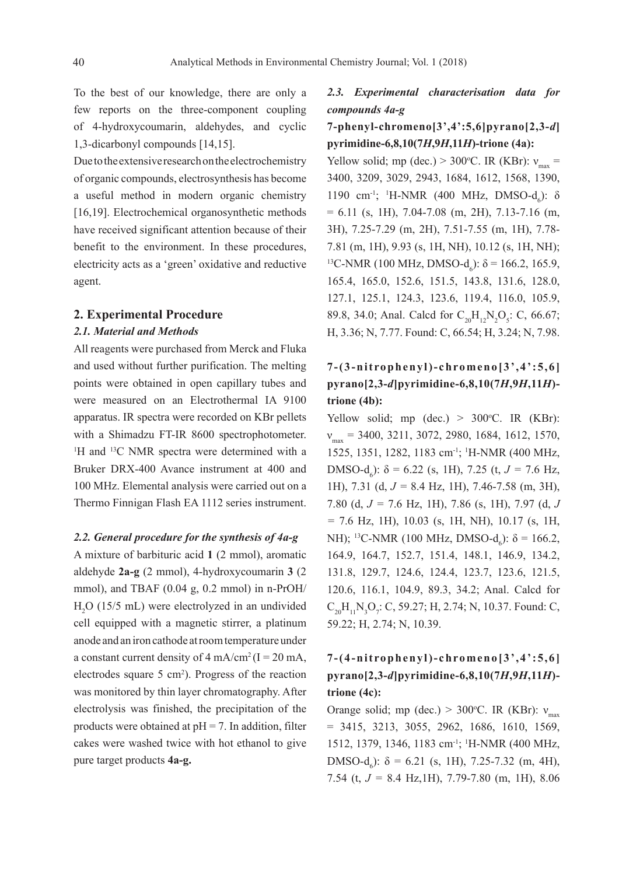To the best of our knowledge, there are only a few reports on the three-component coupling of 4-hydroxycoumarin, aldehydes, and cyclic 1,3-dicarbonyl compounds [14,15].

Due to the extensive research on the electrochemistry of organic compounds, electrosynthesis has become a useful method in modern organic chemistry [16,19]. Electrochemical organosynthetic methods have received significant attention because of their benefit to the environment. In these procedures, electricity acts as a 'green' oxidative and reductive agent.

### **2. Experimental Procedure**

#### *2.1. Material and Methods*

All reagents were purchased from Merck and Fluka and used without further purification. The melting points were obtained in open capillary tubes and were measured on an Electrothermal IA 9100 apparatus. IR spectra were recorded on KBr pellets with a Shimadzu FT-IR 8600 spectrophotometer. <sup>1</sup>H and <sup>13</sup>C NMR spectra were determined with a Bruker DRX-400 Avance instrument at 400 and 100 MHz. Elemental analysis were carried out on a Thermo Finnigan Flash EA 1112 series instrument.

#### *2.2. General procedure for the synthesis of 4a-g*

A mixture of barbituric acid **1** (2 mmol), aromatic aldehyde **2a-g** (2 mmol), 4-hydroxycoumarin **3** (2 mmol), and TBAF (0.04 g, 0.2 mmol) in n-PrOH/ H2 O (15/5 mL) were electrolyzed in an undivided cell equipped with a magnetic stirrer, a platinum anode and an iron cathode at room temperature under a constant current density of  $4 \text{ mA/cm}^2$  (I = 20 mA, electrodes square  $5 \text{ cm}^2$ ). Progress of the reaction was monitored by thin layer chromatography. After electrolysis was finished, the precipitation of the products were obtained at  $pH = 7$ . In addition, filter cakes were washed twice with hot ethanol to give pure target products **4a-g.**

### *2.3. Experimental characterisation data for compounds 4a-g*

### **7-phenyl-chromeno[3',4':5,6]pyrano[2,3-***d***] pyrimidine-6,8,10(7***H***,9***H***,11***H***)-trione (4a):**

Yellow solid; mp (dec.) > 300°C. IR (KBr):  $v_{\text{max}} =$ 3400, 3209, 3029, 2943, 1684, 1612, 1568, 1390, 1190 cm<sup>-1</sup>; <sup>1</sup>H-NMR (400 MHz, DMSO-d<sub>6</sub>):  $\delta$  $= 6.11$  (s, 1H), 7.04-7.08 (m, 2H), 7.13-7.16 (m, 3H), 7.25-7.29 (m, 2H), 7.51-7.55 (m, 1H), 7.78- 7.81 (m, 1H), 9.93 (s, 1H, NH), 10.12 (s, 1H, NH); <sup>13</sup>C-NMR (100 MHz, DMSO-d<sub>6</sub>): δ = 166.2, 165.9, 165.4, 165.0, 152.6, 151.5, 143.8, 131.6, 128.0, 127.1, 125.1, 124.3, 123.6, 119.4, 116.0, 105.9, 89.8, 34.0; Anal. Calcd for  $C_{20}H_{12}N_2O_5$ : C, 66.67; H, 3.36; N, 7.77. Found: C, 66.54; H, 3.24; N, 7.98.

### **7-(3-nitrophenyl)-chromeno[3',4':5,6] pyrano[2,3-***d***]pyrimidine-6,8,10(7***H***,9***H***,11***H***) trione (4b):**

Yellow solid; mp (dec.)  $> 300^{\circ}$ C. IR (KBr):  $v_{\text{max}}$  = 3400, 3211, 3072, 2980, 1684, 1612, 1570, 1525, 1351, 1282, 1183 cm-1 ; 1 H-NMR (400 MHz, DMSO-d<sub>6</sub>):  $\delta$  = 6.22 (s, 1H), 7.25 (t, *J* = 7.6 Hz, 1H), 7.31 (d, *J =* 8.4 Hz, 1H), 7.46-7.58 (m, 3H), 7.80 (d, *J =* 7.6 Hz, 1H), 7.86 (s, 1H), 7.97 (d, *J =* 7.6 Hz, 1H), 10.03 (s, 1H, NH), 10.17 (s, 1H, NH); <sup>13</sup>C-NMR (100 MHz, DMSO-d<sub>6</sub>): δ = 166.2, 164.9, 164.7, 152.7, 151.4, 148.1, 146.9, 134.2, 131.8, 129.7, 124.6, 124.4, 123.7, 123.6, 121.5, 120.6, 116.1, 104.9, 89.3, 34.2; Anal. Calcd for  $C_{20}H_{11}N_3O_7$ : C, 59.27; H, 2.74; N, 10.37. Found: C, 59.22; H, 2.74; N, 10.39.

### **7-(4-nitrophenyl)-chromeno[3',4':5,6] pyrano[2,3-***d***]pyrimidine-6,8,10(7***H***,9***H***,11***H***) trione (4c):**

Orange solid; mp (dec.) > 300°C. IR (KBr):  $v_{\text{max}}$ = 3415, 3213, 3055, 2962, 1686, 1610, 1569, 1512, 1379, 1346, 1183 cm-1 ; 1 H-NMR (400 MHz, DMSO- $d_6$ ):  $\delta = 6.21$  (s, 1H), 7.25-7.32 (m, 4H), 7.54 (t, *J =* 8.4 Hz,1H), 7.79-7.80 (m, 1H), 8.06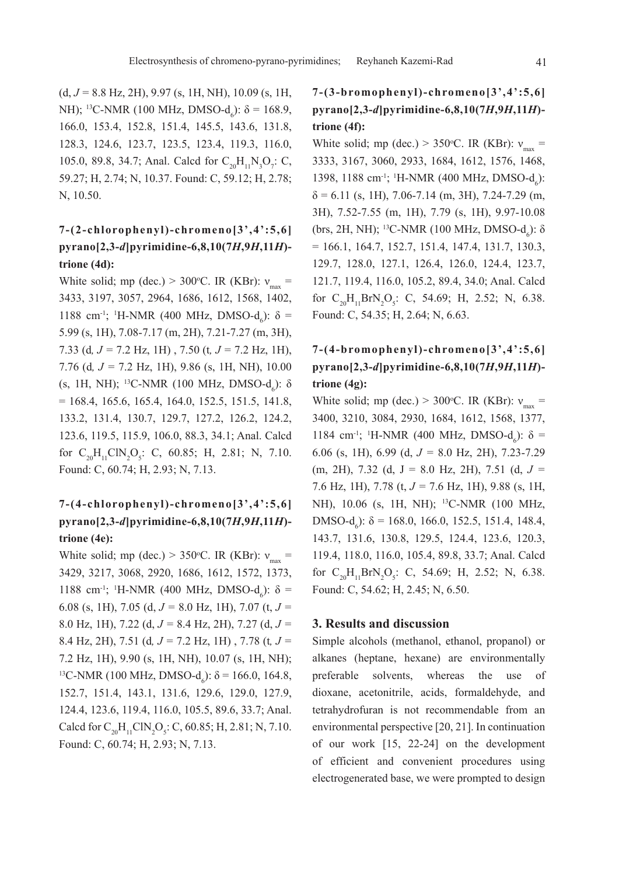(d, *J =* 8.8 Hz, 2H), 9.97 (s, 1H, NH), 10.09 (s, 1H, NH); <sup>13</sup>C-NMR (100 MHz, DMSO-d<sub>6</sub>): δ = 168.9, 166.0, 153.4, 152.8, 151.4, 145.5, 143.6, 131.8, 128.3, 124.6, 123.7, 123.5, 123.4, 119.3, 116.0, 105.0, 89.8, 34.7; Anal. Calcd for  $C_{20}H_{11}N_3O_7$ : C, 59.27; H, 2.74; N, 10.37. Found: C, 59.12; H, 2.78; N, 10.50.

### **7-(2-chlorophenyl)-chromeno[3',4':5,6] pyrano[2,3-***d***]pyrimidine-6,8,10(7***H***,9***H***,11***H***) trione (4d):**

White solid; mp (dec.) > 300°C. IR (KBr):  $v_{\text{max}} =$ 3433, 3197, 3057, 2964, 1686, 1612, 1568, 1402, 1188 cm<sup>-1</sup>; <sup>1</sup>H-NMR (400 MHz, DMSO-d<sub>6</sub>): δ = 5.99 (s, 1H), 7.08-7.17 (m, 2H), 7.21-7.27 (m, 3H), 7.33 (d*, J =* 7.2 Hz, 1H) , 7.50 (t*, J =* 7.2 Hz, 1H), 7.76 (d*, J =* 7.2 Hz, 1H), 9.86 (s, 1H, NH), 10.00 (s, 1H, NH); <sup>13</sup>C-NMR (100 MHz, DMSO- $d_6$ ):  $\delta$  $= 168.4, 165.6, 165.4, 164.0, 152.5, 151.5, 141.8,$ 133.2, 131.4, 130.7, 129.7, 127.2, 126.2, 124.2, 123.6, 119.5, 115.9, 106.0, 88.3, 34.1; Anal. Calcd for  $C_{20}H_{11}CIN_2O_5$ : C, 60.85; H, 2.81; N, 7.10. Found: C, 60.74; H, 2.93; N, 7.13.

### **7-(4-chlorophenyl)-chromeno[3',4':5,6] pyrano[2,3-***d***]pyrimidine-6,8,10(7***H***,9***H***,11***H***) trione (4e):**

White solid; mp (dec.) > 350°C. IR (KBr):  $v_{\text{max}} =$ 3429, 3217, 3068, 2920, 1686, 1612, 1572, 1373, 1188 cm<sup>-1</sup>; <sup>1</sup>H-NMR (400 MHz, DMSO-d<sub>6</sub>): δ = 6.08 (s, 1H), 7.05 (d, *J =* 8.0 Hz, 1H), 7.07 (t, *J =*  8.0 Hz, 1H), 7.22 (d, *J =* 8.4 Hz, 2H), 7.27 (d, *J =*  8.4 Hz, 2H), 7.51 (d*, J =* 7.2 Hz, 1H) , 7.78 (t*, J =*  7.2 Hz, 1H), 9.90 (s, 1H, NH), 10.07 (s, 1H, NH); <sup>13</sup>C-NMR (100 MHz, DMSO-d<sub>6</sub>): δ = 166.0, 164.8, 152.7, 151.4, 143.1, 131.6, 129.6, 129.0, 127.9, 124.4, 123.6, 119.4, 116.0, 105.5, 89.6, 33.7; Anal. Calcd for  $C_{20}H_{11}CIN_2O_5$ : C, 60.85; H, 2.81; N, 7.10. Found: C, 60.74; H, 2.93; N, 7.13.

### **7-(3-bromophenyl)-chromeno[3',4':5,6] pyrano[2,3-***d***]pyrimidine-6,8,10(7***H***,9***H***,11***H***) trione (4f):**

White solid; mp (dec.) > 350°C. IR (KBr):  $v_{\text{max}} =$ 3333, 3167, 3060, 2933, 1684, 1612, 1576, 1468, 1398, 1188 cm<sup>-1</sup>; <sup>1</sup>H-NMR (400 MHz, DMSO-d<sub>6</sub>):  $\delta$  = 6.11 (s, 1H), 7.06-7.14 (m, 3H), 7.24-7.29 (m, 3H), 7.52-7.55 (m, 1H), 7.79 (s, 1H), 9.97-10.08 (brs, 2H, NH); <sup>13</sup>C-NMR (100 MHz, DMSO- $d_6$ ):  $\delta$  $= 166.1, 164.7, 152.7, 151.4, 147.4, 131.7, 130.3,$ 129.7, 128.0, 127.1, 126.4, 126.0, 124.4, 123.7, 121.7, 119.4, 116.0, 105.2, 89.4, 34.0; Anal. Calcd for  $C_{20}H_{11}BrN_2O_5$ : C, 54.69; H, 2.52; N, 6.38. Found: C, 54.35; H, 2.64; N, 6.63.

### **7-(4-bromophenyl)-chromeno[3',4':5,6] pyrano[2,3-***d***]pyrimidine-6,8,10(7***H***,9***H***,11***H***) trione (4g):**

White solid; mp (dec.) > 300°C. IR (KBr):  $v_{\text{max}} =$ 3400, 3210, 3084, 2930, 1684, 1612, 1568, 1377, 1184 cm<sup>-1</sup>; <sup>1</sup>H-NMR (400 MHz, DMSO-d<sub>6</sub>): δ = 6.06 (s, 1H), 6.99 (d, *J =* 8.0 Hz, 2H), 7.23-7.29 (m, 2H), 7.32 (d, J = 8.0 Hz, 2H), 7.51 (d, *J =*  7.6 Hz, 1H), 7.78 (t, *J =* 7.6 Hz, 1H), 9.88 (s, 1H, NH), 10.06 (s, 1H, NH); 13C-NMR (100 MHz, DMSO- $d_6$ ):  $\delta$  = 168.0, 166.0, 152.5, 151.4, 148.4, 143.7, 131.6, 130.8, 129.5, 124.4, 123.6, 120.3, 119.4, 118.0, 116.0, 105.4, 89.8, 33.7; Anal. Calcd for  $C_{20}H_{11}BrN_2O_5$ : C, 54.69; H, 2.52; N, 6.38. Found: C, 54.62; H, 2.45; N, 6.50.

### **3. Results and discussion**

Simple alcohols (methanol, ethanol, propanol) or alkanes (heptane, hexane) are environmentally preferable solvents, whereas the use of dioxane, acetonitrile, acids, formaldehyde, and tetrahydrofuran is not recommendable from an environmental perspective [20, 21]. In continuation of our work [15, 22-24] on the development of efficient and convenient procedures using electrogenerated base, we were prompted to design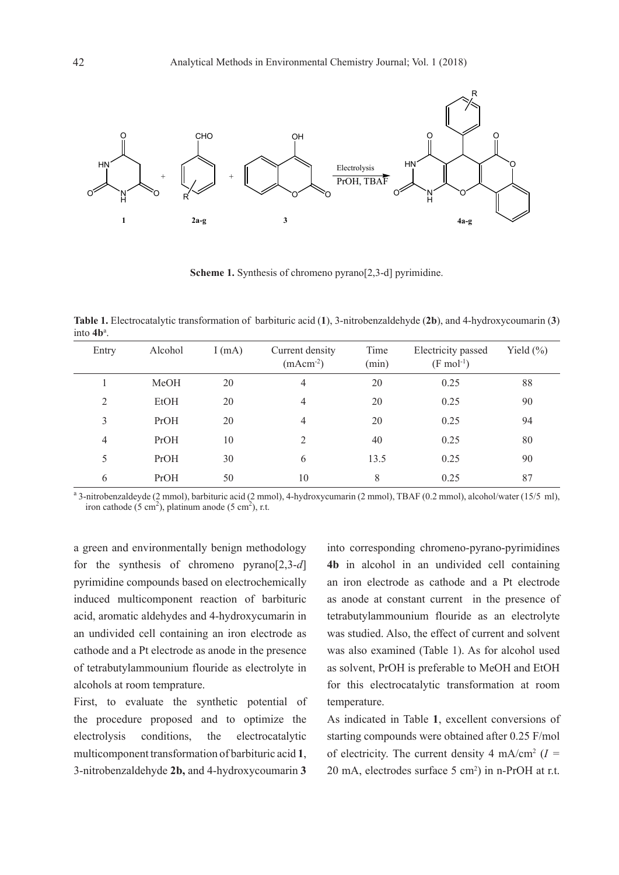

**Scheme 1.** Synthesis of chromeno pyrano[2,3-d] pyrimidine.

**Table 1.** Electrocatalytic transformation of barbituric acid (**1**), 3-nitrobenzaldehyde (**2b**), and 4-hydroxycoumarin (**3**) into **4b**<sup>a</sup> .

| Entry          | Alcohol     | I(mA) | Current density<br>$(mAcm-2)$ | Time<br>(min) | Electricity passed<br>$(F \text{ mol}^{-1})$ | Yield $(\% )$ |
|----------------|-------------|-------|-------------------------------|---------------|----------------------------------------------|---------------|
|                | MeOH        | 20    | $\overline{4}$                | 20            | 0.25                                         | 88            |
| 2              | <b>EtOH</b> | 20    | $\overline{4}$                | 20            | 0.25                                         | 90            |
| 3              | PrOH        | 20    | 4                             | 20            | 0.25                                         | 94            |
| $\overline{4}$ | ProH        | 10    | 2                             | 40            | 0.25                                         | 80            |
| 5              | PrOH        | 30    | 6                             | 13.5          | 0.25                                         | 90            |
| 6              | PrOH        | 50    | 10                            | 8             | 0.25                                         | 87            |

<sup>a</sup> 3-nitrobenzaldeyde (2 mmol), barbituric acid (2 mmol), 4-hydroxycumarin (2 mmol), TBAF (0.2 mmol), alcohol/water (15/5 ml), iron cathode (5 cm<sup>2</sup>), platinum anode (5 cm<sup>2</sup>), r.t.

a green and environmentally benign methodology for the synthesis of chromeno pyrano[2,3-*d*] pyrimidine compounds based on electrochemically induced multicomponent reaction of barbituric acid, aromatic aldehydes and 4-hydroxycumarin in an undivided cell containing an iron electrode as cathode and a Pt electrode as anode in the presence of tetrabutylammounium flouride as electrolyte in alcohols at room temprature.

First, to evaluate the synthetic potential of the procedure proposed and to optimize the electrolysis conditions, the electrocatalytic multicomponent transformation of barbituric acid **1**, 3-nitrobenzaldehyde **2b,** and 4-hydroxycoumarin **3** into corresponding chromeno-pyrano-pyrimidines **4b** in alcohol in an undivided cell containing an iron electrode as cathode and a Pt electrode as anode at constant current in the presence of tetrabutylammounium flouride as an electrolyte was studied. Also, the effect of current and solvent was also examined (Table 1). As for alcohol used as solvent, PrOH is preferable to MeOH and EtOH for this electrocatalytic transformation at room temperature.

As indicated in Table **1**, excellent conversions of starting compounds were obtained after 0.25 F/mol of electricity. The current density  $4 \text{ mA/cm}^2$  ( $I =$ 20 mA, electrodes surface 5 cm2 ) in n-PrOH at r.t.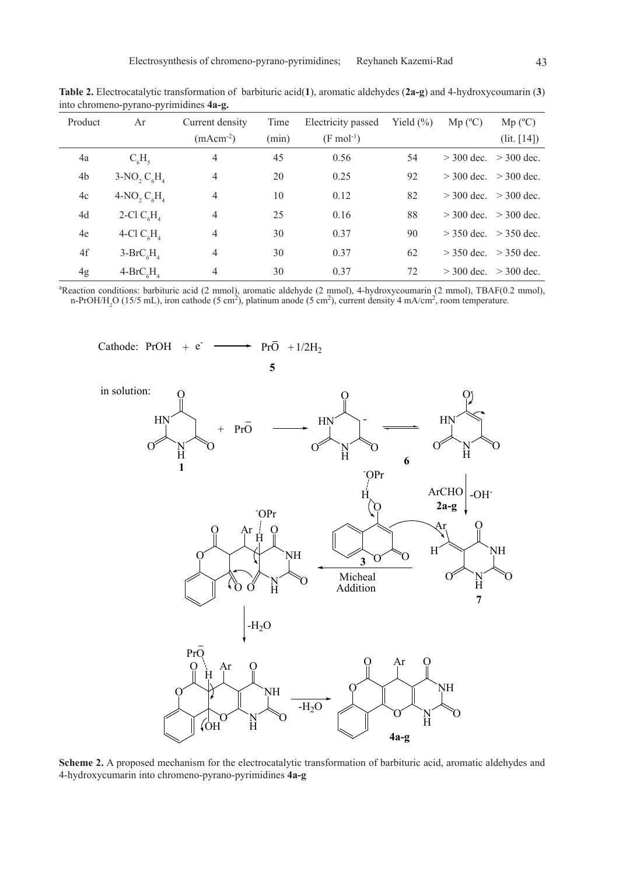| Product | Ar                              | Current density | Time  | Electricity passed     | Yield $(\% )$ | $Mp (^{\circ}C)$ | $Mp (^{\circ}C)$          |
|---------|---------------------------------|-----------------|-------|------------------------|---------------|------------------|---------------------------|
|         |                                 | $(mAcm-2)$      | (min) | $(F \text{ mol}^{-1})$ |               |                  | (lit. [14])               |
| 4a      | $C_{\epsilon}H_{\epsilon}$      | 4               | 45    | 0.56                   | 54            | $>$ 300 dec.     | $>$ 300 dec.              |
| 4b      | $3-NO, C6H4$                    | 4               | 20    | 0.25                   | 92            |                  | $>$ 300 dec. $>$ 300 dec. |
| 4c      | $4-NO, C6H4$                    | 4               | 10    | 0.12                   | 82            | $>$ 300 dec.     | $>$ 300 dec.              |
| 4d      | 2-Cl $C_{\epsilon}H_{\epsilon}$ | 4               | 25    | 0.16                   | 88            |                  | $>$ 300 dec. $>$ 300 dec. |
| 4e      | 4-Cl $C_{\epsilon}H_{\epsilon}$ | 4               | 30    | 0.37                   | 90            |                  | $>$ 350 dec. $>$ 350 dec. |
| 4f      | $3-BrC6H4$                      | 4               | 30    | 0.37                   | 62            |                  | $>$ 350 dec. $>$ 350 dec. |
| 4g      | $4-BrC6H4$                      | 4               | 30    | 0.37                   | 72            | $>$ 300 dec.     | $>$ 300 dec.              |

**Table 2.** Electrocatalytic transformation of barbituric acid(**1**), aromatic aldehydes (**2a-g**) and 4-hydroxycoumarin (**3**) into chromeno-pyrano-pyrimidines **4a-g.**

a Reaction conditions: barbituric acid (2 mmol), aromatic aldehyde (2 mmol), 4-hydroxycoumarin (2 mmol), TBAF(0.2 mmol), n-PrOH/H<sub>2</sub>O (15/5 mL), iron cathode (5 cm<sup>2</sup>), platinum anode (5 cm<sup>2</sup>), current density 4 mA/cm<sup>2</sup>, room temperature.



**Scheme 2.** A proposed mechanism for the electrocatalytic transformation of barbituric acid, aromatic aldehydes and 4-hydroxycumarin into chromeno-pyrano-pyrimidines **4a-g**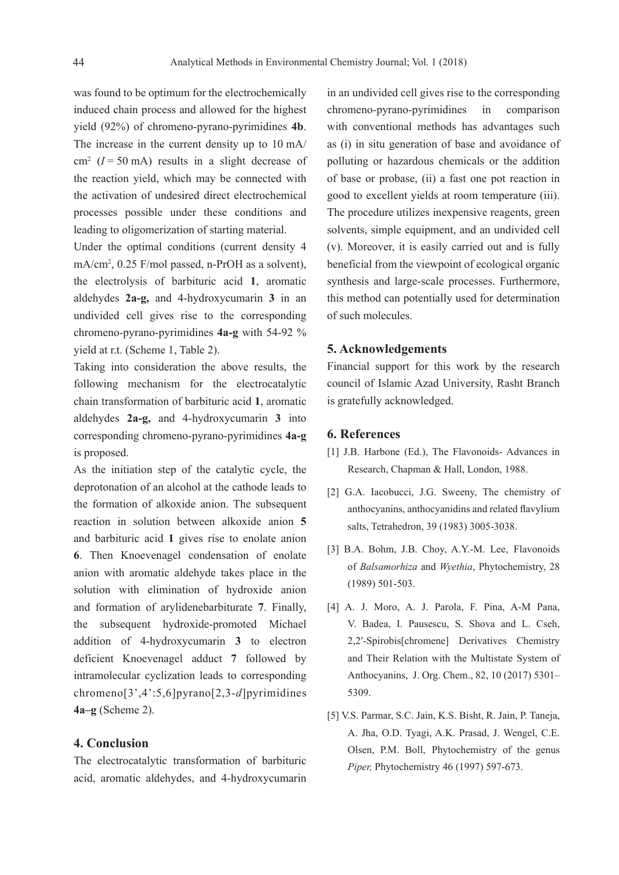was found to be optimum for the electrochemically induced chain process and allowed for the highest yield (92%) of chromeno-pyrano-pyrimidines **4b**. The increase in the current density up to 10 mA/  $\text{cm}^2$  ( $I = 50 \text{ mA}$ ) results in a slight decrease of the reaction yield, which may be connected with the activation of undesired direct electrochemical processes possible under these conditions and leading to oligomerization of starting material.

Under the optimal conditions (current density 4 mA/cm2 , 0.25 F/mol passed, n-PrOH as a solvent), the electrolysis of barbituric acid **1**, aromatic aldehydes **2a-g,** and 4-hydroxycumarin **3** in an undivided cell gives rise to the corresponding chromeno-pyrano-pyrimidines **4a-g** with 54-92 % yield at r.t. (Scheme 1, Table 2).

Taking into consideration the above results, the following mechanism for the electrocatalytic chain transformation of barbituric acid **1**, aromatic aldehydes **2a-g,** and 4-hydroxycumarin **3** into corresponding chromeno-pyrano-pyrimidines **4a-g** is proposed.

As the initiation step of the catalytic cycle, the deprotonation of an alcohol at the cathode leads to the formation of alkoxide anion. The subsequent reaction in solution between alkoxide anion **5** and barbituric acid **1** gives rise to enolate anion **6**. Then Knoevenagel condensation of enolate anion with aromatic aldehyde takes place in the solution with elimination of hydroxide anion and formation of arylidenebarbiturate **7**. Finally, the subsequent hydroxide-promoted Michael addition of 4-hydroxycumarin **3** to electron deficient Knoevenagel adduct **7** followed by intramolecular cyclization leads to corresponding chromeno[3',4':5,6]pyrano[2,3-*d*]pyrimidines **4a–g** (Scheme 2).

#### **4. Conclusion**

The electrocatalytic transformation of barbituric acid, aromatic aldehydes, and 4-hydroxycumarin in an undivided cell gives rise to the corresponding chromeno-pyrano-pyrimidines in comparison with conventional methods has advantages such as (i) in situ generation of base and avoidance of polluting or hazardous chemicals or the addition of base or probase, (ii) a fast one pot reaction in good to excellent yields at room temperature (iii). The procedure utilizes inexpensive reagents, green solvents, simple equipment, and an undivided cell (v). Moreover, it is easily carried out and is fully beneficial from the viewpoint of ecological organic synthesis and large-scale processes. Furthermore, this method can potentially used for determination of such molecules.

#### **5. Acknowledgements**

Financial support for this work by the research council of Islamic Azad University, Rasht Branch is gratefully acknowledged.

#### **6. References**

- [1] J.B. Harbone (Ed.), The Flavonoids- Advances in Research, Chapman & Hall, London, 1988.
- [2] G.A. Iacobucci, J.G. Sweeny, The chemistry of anthocyanins, anthocyanidins and related flavylium salts, Tetrahedron, 39 (1983) 3005-3038.
- [3] B.A. Bohm, J.B. Choy, A.Y.-M. Lee, Flavonoids of *Balsamorhiza* and *Wyethia*, Phytochemistry, 28 (1989) 501-503.
- [4] A. J. Moro, A. J. Parola, F. Pina, A-M Pana, V. Badea, I. Pausescu, S. Shova and L. Cseh, 2,2′-Spirobis[chromene] Derivatives Chemistry and Their Relation with the Multistate System of Anthocyanins, J. Org. Chem., 82, 10 (2017) 5301– 5309.
- [5] V.S. Parmar, S.C. Jain, K.S. Bisht, R. Jain, P. Taneja, A. Jha, O.D. Tyagi, A.K. Prasad, J. Wengel, C.E. Olsen, P.M. Boll, Phytochemistry of the genus *Piper,* Phytochemistry 46 (1997) 597-673.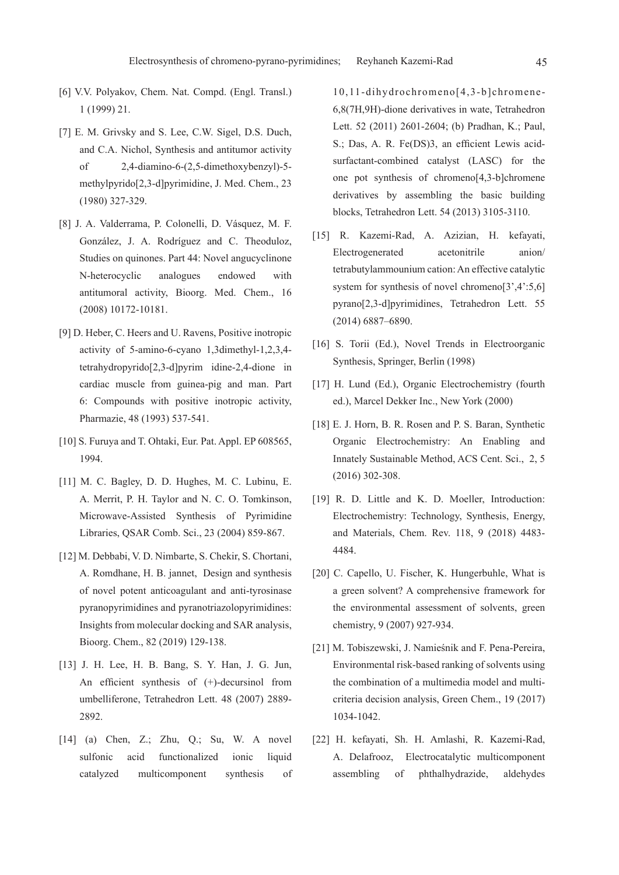- [6] V.V. Polyakov, Chem. Nat. Compd. (Engl. Transl.) 1 (1999) 21.
- [7] E. M. Grivsky and S. Lee, C.W. Sigel, D.S. Duch, and C.A. Nichol, Synthesis and antitumor activity of 2,4-diamino-6-(2,5-dimethoxybenzyl)-5 methylpyrido[2,3-d]pyrimidine, J. Med. Chem., 23 (1980) 327-329.
- [8] J. A. Valderrama, P. Colonelli, D. Vásquez, M. F. González, J. A. Rodríguez and C. Theoduloz, Studies on quinones. Part 44: Novel angucyclinone N-heterocyclic analogues endowed with antitumoral activity, Bioorg. Med. Chem., 16 (2008) 10172-10181.
- [9] D. Heber, C. Heers and U. Ravens, Positive inotropic activity of 5-amino-6-cyano 1,3dimethyl-1,2,3,4 tetrahydropyrido[2,3-d]pyrim idine-2,4-dione in cardiac muscle from guinea-pig and man. Part 6: Compounds with positive inotropic activity, Pharmazie, 48 (1993) 537-541.
- [10] S. Furuya and T. Ohtaki, Eur. Pat. Appl. EP 608565, 1994.
- [11] M. C. Bagley, D. D. Hughes, M. C. Lubinu, E. A. Merrit, P. H. Taylor and N. C. O. Tomkinson, Microwave-Assisted Synthesis of Pyrimidine Libraries, QSAR Comb. Sci., 23 (2004) 859-867.
- [12] M. Debbabi, V. D. Nimbarte, S. Chekir, S. Chortani, A. Romdhane, H. B. jannet, Design and synthesis of novel potent anticoagulant and anti-tyrosinase pyranopyrimidines and pyranotriazolopyrimidines: Insights from molecular docking and SAR analysis, Bioorg. Chem., 82 (2019) 129-138.
- [13] J. H. Lee, H. B. Bang, S. Y. Han, J. G. Jun, An efficient synthesis of (+)-decursinol from umbelliferone, Tetrahedron Lett. 48 (2007) 2889- 2892.
- [14] (a) Chen, Z.; Zhu, Q.; Su, W. A novel sulfonic acid functionalized ionic liquid catalyzed multicomponent synthesis of

10,11-dihydrochromeno[4,3-b]chromene-6,8(7H,9H)-dione derivatives in wate, Tetrahedron Lett. 52 (2011) 2601-2604; (b) Pradhan, K.; Paul, S.; Das, A. R. Fe(DS)3, an efficient Lewis acidsurfactant-combined catalyst (LASC) for the one pot synthesis of chromeno[4,3-b]chromene derivatives by assembling the basic building blocks, Tetrahedron Lett. 54 (2013) 3105-3110.

- [15] R. Kazemi-Rad, A. Azizian, H. kefayati, Electrogenerated acetonitrile anion/ tetrabutylammounium cation: An effective catalytic system for synthesis of novel chromeno $[3,4,3,6]$ pyrano[2,3-d]pyrimidines, Tetrahedron Lett. 55 (2014) 6887–6890.
- [16] S. Torii (Ed.), Novel Trends in Electroorganic Synthesis, Springer, Berlin (1998)
- [17] H. Lund (Ed.), Organic Electrochemistry (fourth ed.), Marcel Dekker Inc., New York (2000)
- [18] E. J. Horn, B. R. Rosen and P. S. Baran, Synthetic Organic Electrochemistry: An Enabling and Innately Sustainable Method, ACS Cent. Sci., 2, 5 (2016) 302-308.
- [19] R. D. Little and K. D. Moeller, Introduction: Electrochemistry: Technology, Synthesis, Energy, and Materials, Chem. Rev. 118, 9 (2018) 4483- 4484.
- [20] C. Capello, U. Fischer, K. Hungerbuhle, What is a green solvent? A comprehensive framework for the environmental assessment of solvents, green chemistry, 9 (2007) 927-934.
- [21] M. Tobiszewski, J. Namieśnik and F. Pena-Pereira, Environmental risk-based ranking of solvents using the combination of a multimedia model and multicriteria decision analysis, Green Chem., 19 (2017) 1034-1042.
- [22] H. kefayati, Sh. H. Amlashi, R. Kazemi-Rad, A. Delafrooz, Electrocatalytic multicomponent assembling of phthalhydrazide, aldehydes